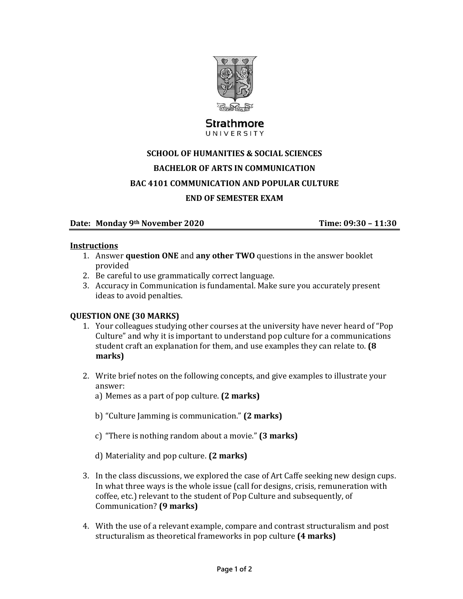

## Strathmore UNIVERSITY

# **SCHOOL OF HUMANITIES & SOCIAL SCIENCES BACHELOR OF ARTS IN COMMUNICATION BAC** 4101 **COMMUNICATION** AND POPULAR **CULTURE END OF SEMESTER EXAM**

## **Date:** Monday 9<sup>th</sup> November 2020<br> **COMBUG** Time: 09:30 – 11:30

#### **Instructions**

- **1.** Answer **question ONE** and **any other TWO** questions in the answer booklet provided
- 2. Be careful to use grammatically correct language.
- 3. Accuracy in Communication is fundamental. Make sure you accurately present ideas to avoid penalties.

### **QUESTION ONE (30 MARKS)**

- 1. Your colleagues studying other courses at the university have never heard of "Pop" Culture" and why it is important to understand pop culture for a communications student craft an explanation for them, and use examples they can relate to. **(8**) **marks)**
- 2. Write brief notes on the following concepts, and give examples to illustrate your answer:
	- a) Memes as a part of pop culture. **(2 marks)**
	- b) "Culture Jamming is communication." (2 marks)
	- c) "There is nothing random about a movie." **(3 marks)**
	- d) Materiality and pop culture. **(2 marks)**
- 3. In the class discussions, we explored the case of Art Caffe seeking new design cups. In what three ways is the whole issue (call for designs, crisis, remuneration with coffee, etc.) relevant to the student of Pop Culture and subsequently, of Communication? **(9 marks)**
- 4. With the use of a relevant example, compare and contrast structuralism and post structuralism as theoretical frameworks in pop culture (4 marks)